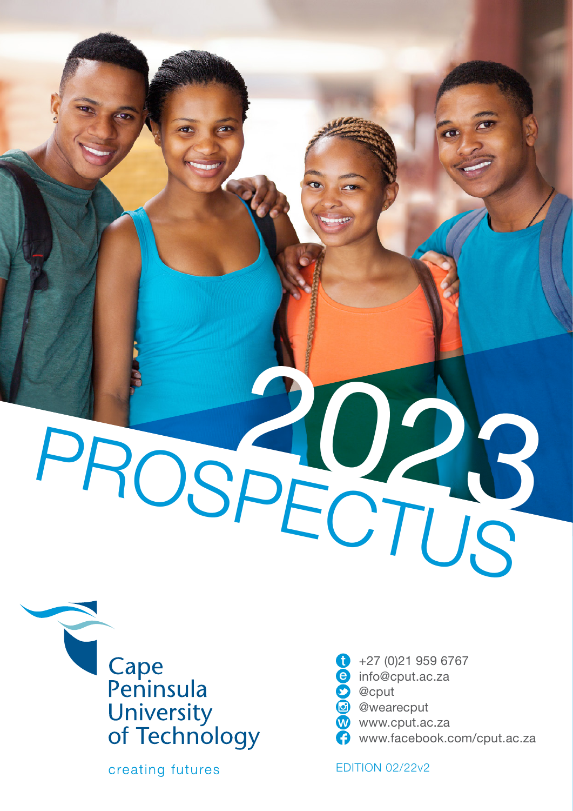# PROSPECTUS



creating futures

 $+27(0)219596767$ info@cput.ac.za **D** @cput c) @wearecput www.cput.ac.za www.facebook.com/cput.ac.za

EDITION 02/22v2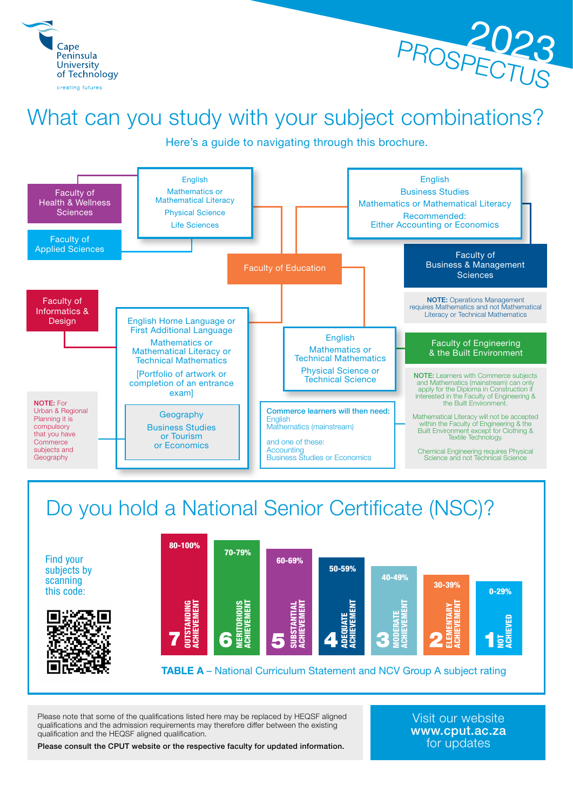



# What can you study with your subject combinations?

Here's a guide to navigating through this brochure.



# Do you hold a National Senior Certificate (NSC)?

Find your subjects by scanning this code:





Please note that some of the qualifications listed here may be replaced by HEQSF aligned qualifications and the admission requirements may therefore differ between the existing qualification and the HEQSF aligned qualification.

Visit our website www.cput.ac.za for updates

Please consult the CPUT website or the respective faculty for updated information.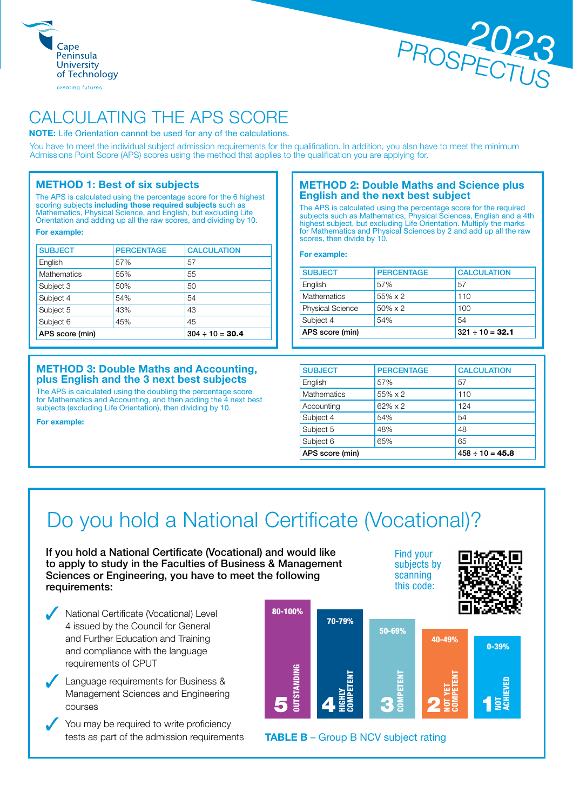



# CALCULATING THE APS SCORE

NOTE: Life Orientation cannot be used for any of the calculations.

You have to meet the individual subject admission requirements for the qualification. In addition, you also have to meet the minimum Admissions Point Score (APS) scores using the method that applies to the qualification you are applying for.

# METHOD 1: Best of six subjects

The APS is calculated using the percentage score for the 6 highest scoring subjects including those required subjects such as Mathematics, Physical Science, and English, but excluding Life Orientation and adding up all the raw scores, and dividing by 10.

For example:

| <b>SUBJECT</b>     | <b>PERCENTAGE</b>    | <b>CALCULATION</b> |
|--------------------|----------------------|--------------------|
| English            | 57%                  | 57                 |
| <b>Mathematics</b> | 55%                  | 55                 |
| Subject 3          | 50%                  | 50                 |
| Subject 4          | 54%                  | 54                 |
| Subject 5          | 43%                  | 43                 |
| Subject 6          | 45%                  | 45                 |
| APS score (min)    | $304 \div 10 = 30.4$ |                    |

# METHOD 3: Double Maths and Accounting, plus English and the 3 next best subjects

The APS is calculated using the doubling the percentage score for Mathematics and Accounting, and then adding the 4 next best subjects (excluding Life Orientation), then dividing by 10.

For example:

# METHOD 2: Double Maths and Science plus English and the next best subject

The APS is calculated using the percentage score for the required subjects such as Mathematics, Physical Sciences, English and a 4th highest subject, but excluding Life Orientation. Multiply the marks for Mathematics and Physical Sciences by 2 and add up all the raw scores, then divide by 10.

# For example:

| <b>SUBJECT</b>          | <b>PERCENTAGE</b> | <b>CALCULATION</b>   |  |  |  |  |
|-------------------------|-------------------|----------------------|--|--|--|--|
| English                 | 57%               | 57                   |  |  |  |  |
| Mathematics             | 55% x 2           | 110                  |  |  |  |  |
| <b>Physical Science</b> | $50\% \times 2$   | 100                  |  |  |  |  |
| Subject 4               | 54%               | 54                   |  |  |  |  |
| APS score (min)         |                   | $321 \div 10 = 32.1$ |  |  |  |  |

| <b>SUBJECT</b>     | <b>PERCENTAGE</b>    | <b>CALCULATION</b> |  |  |  |
|--------------------|----------------------|--------------------|--|--|--|
| English            | 57%                  | 57                 |  |  |  |
| <b>Mathematics</b> | 55% x 2              | 110                |  |  |  |
| Accounting         | 62% x 2              | 124                |  |  |  |
| Subject 4          | 54%                  | 54                 |  |  |  |
| Subject 5          | 48%                  | 48                 |  |  |  |
| Subject 6          | 65%                  | 65                 |  |  |  |
| APS score (min)    | $458 \div 10 = 45.8$ |                    |  |  |  |

Find your subjects by scanning this code:

# Do you hold a National Certificate (Vocational)?

If you hold a National Certificate (Vocational) and would like to apply to study in the Faculties of Business & Management Sciences or Engineering, you have to meet the following requirements:

National Certificate (Vocational) Level 4 issued by the Council for General and Further Education and Training and compliance with the language requirements of CPUT

Language requirements for Business & Management Sciences and Engineering courses

You may be required to write proficiency tests as part of the admission requirements

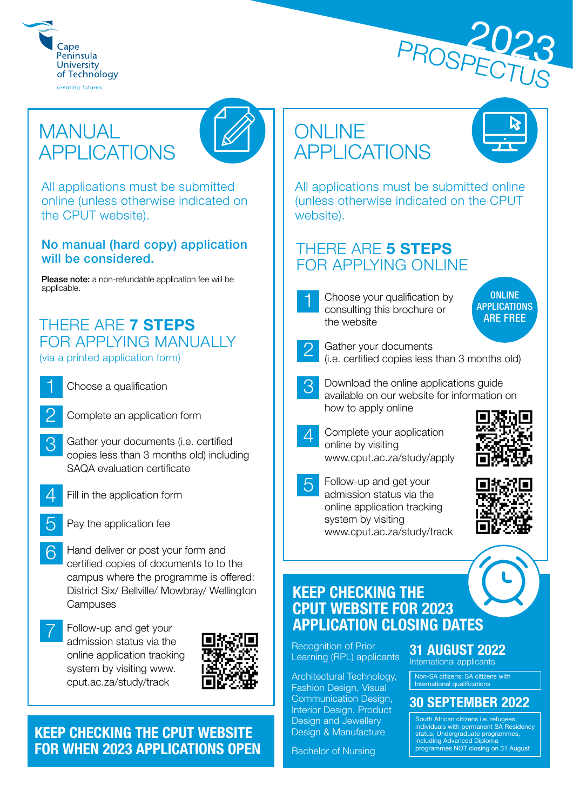



# **MANUAL** APPLICATIONS



All applications must be submitted online (unless otherwise indicated on the CPUT website).

# No manual (hard copy) application will be considered.

Please note: a non-refundable application fee will be applicable.

# THERE ARE 7 STEPS FOR APPLYING MANUALLY (via a printed application form)



Choose a qualification

- 
- Complete an application form
- 3 Gather your documents (i.e. certified copies less than 3 months old) including SAQA evaluation certificate
- - Fill in the application form
	- Pay the application fee
- 6 Hand deliver or post your form and certified copies of documents to to the campus where the programme is offered: District Six/ Bellville/ Mowbray/ Wellington **Campuses**
- Follow-up and get your admission status via the online application tracking system by visiting www. cput.ac.za/study/track



# KEEP CHECKING THE CPUT WEBSITE FOR WHEN 2023 APPLICATIONS OPEN

# **ONLINE** APPLICATIONS



All applications must be submitted online (unless otherwise indicated on the CPUT website).

# THERE ARE 5 STEPS FOR APPLYING ONLINE



ONLINE **APPLICATIONS** ARE FREE Choose your qualification by consulting this brochure or

Gather your documents (i.e. certified copies less than 3 months old)

- 3 Download the online applications guide available on our website for information on how to apply online
- 4 Complete your application online by visiting www.cput.ac.za/study/apply
- 5 Follow-up and get your admission status via the online application tracking system by visiting www.cput.ac.za/study/track





# KEEP CHECKING THE CPUT WEBSITE FOR 2023 APPLICATION CLOSING DATES

Recognition of Prior Learning (RPL) applicants

Architectural Technology, Fashion Design, Visual Communication Design, Interior Design, Product Design and Jewellery Design & Manufacture

Bachelor of Nursing

# 31 AUGUST 2022

International applicants

Non-SA citizens; SA citizens with International qualifications

# 30 SEPTEMBER 2022

South African citizens i.e. refugees, individuals with permanent SA Residency status; Undergraduate programmes, including Advanced Diploma programmes NOT closing on 31 August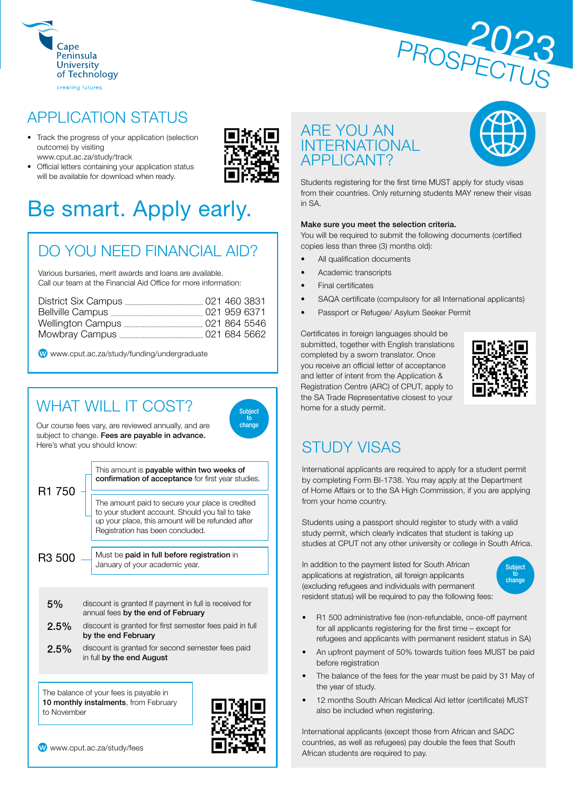



# APPLICATION STATUS

- Track the progress of your application (selection outcome) by visiting www.cput.ac.za/study/track
- Official letters containing your application status will be available for download when ready.



# DO YOU NEED FINANCIAL AID?

Various bursaries, merit awards and loans are available. Call our team at the Financial Aid Office for more information:

www.cput.ac.za/study/funding/undergraduate

# WHAT WILL IT COST?



Our course fees vary, are reviewed annually, and are subject to change. Fees are payable in advance. Here's what you should know:

R1 750 This amount is payable within two weeks of confirmation of acceptance for first year studies. The amount paid to secure your place is credited to your student account. Should you fail to take up your place, this amount will be refunded after Registration has been concluded. R3 500 Must be paid in full before registration in January of your academic year. 5% discount is granted If payment in full is received for annual fees by the end of February 2.5% discount is granted for first semester fees paid in full by the end February 2.5% discount is granted for second semester fees paid

in full by the end August

The balance of your fees is payable in 10 monthly instalments, from February to November



W www.cput.ac.za/study/fees

# ARE YOU AN INTERNATIONAL APPLICANT?



Students registering for the first time MUST apply for study visas from their countries. Only returning students MAY renew their visas in SA.

# Make sure you meet the selection criteria.

You will be required to submit the following documents (certified copies less than three (3) months old):

- All qualification documents
- Academic transcripts
- Final certificates
- SAQA certificate (compulsory for all International applicants)
- Passport or Refugee/ Asylum Seeker Permit

Certificates in foreign languages should be submitted, together with English translations completed by a sworn translator. Once you receive an official letter of acceptance and letter of intent from the Application & Registration Centre (ARC) of CPUT, apply to the SA Trade Representative closest to your home for a study permit.



# STUDY VISAS

International applicants are required to apply for a student permit by completing Form BI-1738. You may apply at the Department of Home Affairs or to the SA High Commission, if you are applying from your home country.

Students using a passport should register to study with a valid study permit, which clearly indicates that student is taking up studies at CPUT not any other university or college in South Africa.

In addition to the payment listed for South African applications at registration, all foreign applicants (excluding refugees and individuals with permanent resident status) will be required to pay the following fees:



- R1 500 administrative fee (non-refundable, once-off payment for all applicants registering for the first time – except for refugees and applicants with permanent resident status in SA)
- An upfront payment of 50% towards tuition fees MUST be paid before registration
- The balance of the fees for the year must be paid by 31 May of the year of study.
- 12 months South African Medical Aid letter (certificate) MUST also be included when registering.

International applicants (except those from African and SADC countries, as well as refugees) pay double the fees that South African students are required to pay.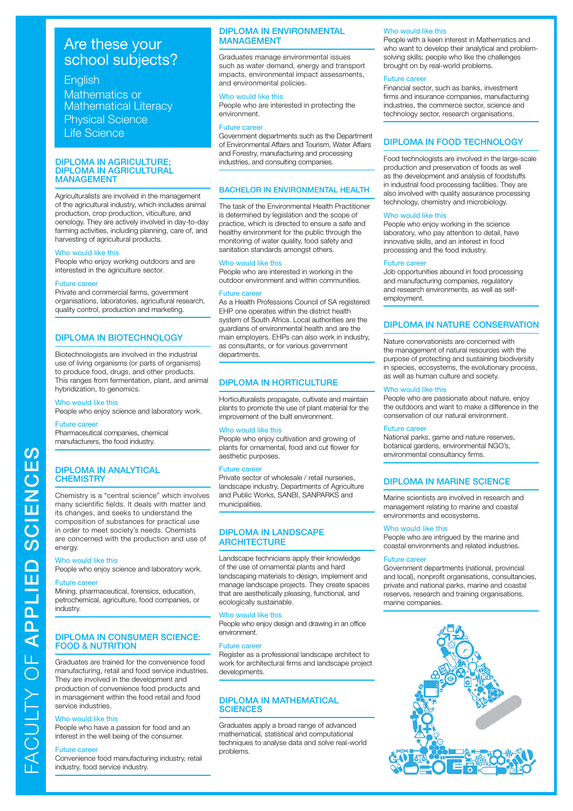# **English**

Mathematics or Mathematical Literacy Physical Science Life Science

# DIPLOMA IN AGRICULTURE; DIPLOMA IN AGRICULTURAL MANAGEMENT

Agriculturalists are involved in the management of the agricultural industry, which includes animal production, crop production, viticulture, and oenology. They are actively involved in day-to-day farming activities, including planning, care of, and harvesting of agricultural products.

# Who would like this

People who enjoy working outdoors and are interested in the agriculture sector.

# **Future care**

Private and commercial farms, government organisations, laboratories, agricultural research, quality control, production and marketing.

# DIPLOMA IN BIOTECHNOLOGY

Biotechnologists are involved in the industrial use of living organisms (or parts of organisms) to produce food, drugs, and other products. This ranges from fermentation, plant, and animal hybridization, to genomics.

# Who would like this

People who enjoy science and laboratory work.

# Future caree

Pharmaceutical companies, chemical manufacturers, the food industry.

# DIPLOMA IN ANALYTICAL **CHEMISTRY**

Chemistry is a "central science" which involves many scientific fields. It deals with matter and its changes, and seeks to understand the composition of substances for practical use in order to meet society's needs. Chemists are concerned with the production and use of energy.

### Who would like this

People who enjoy science and laboratory work.

### **Future car**

Mining, pharmaceutical, forensics, education, petrochemical, agriculture, food companies, or industry.

# DIPLOMA IN CONSUMER SCIENCE: FOOD & NUTRITION

Graduates are trained for the convenience food manufacturing, retail and food service industries. They are involved in the development and production of convenience food products and in management within the food retail and food service industries.

# Who would like this

People who have a passion for food and an interest in the well being of the consumer.

### Future caree

Convenience food manufacturing industry, retail industry, food service industry.

# DIPLOMA IN ENVIRONMENTAL MANAGEMENT

Graduates manage environmental issues such as water demand, energy and transport impacts, environmental impact assessments, and environmental policies.

### Who would like this

People who are interested in protecting the environment.

# Future career

Government departments such as the Department of Environmental Affairs and Tourism, Water Affairs and Forestry, manufacturing and processing industries, and consulting companies.

# BACHELOR IN ENVIRONMENTAL HEALTH

The task of the Environmental Health Practitioner is determined by legislation and the scope of practice, which is directed to ensure a safe and healthy environment for the public through the monitoring of water quality, food safety and sanitation standards amongst others.

# Who would like this

People who are interested in working in the outdoor environment and within communities.

# Future career

As a Health Professions Council of SA registered EHP one operates within the district health system of South Africa. Local authorities are the guardians of environmental health and are the main employers. EHPs can also work in industry, as consultants, or for various government departments.

# DIPLOMA IN HORTICULTURE

Horticulturalists propagate, cultivate and maintain plants to promote the use of plant material for the improvement of the built environment.

# Who would like this

People who enjoy cultivation and growing of plants for ornamental, food and cut flower for aesthetic purposes.

# Future career

Private sector of wholesale / retail nurseries, landscape industry, Departments of Agriculture and Public Works, SANBI, SANPARKS and municipalities.

# DIPLOMA IN LANDSCAPE **ARCHITECTURE**

Landscape technicians apply their knowledge of the use of ornamental plants and hard landscaping materials to design, implement and manage landscape projects. They create spaces that are aesthetically pleasing, functional, and ecologically sustainable.

# Who would like this

People who enjoy design and drawing in an office environment.

# Future career

Register as a professional landscape architect to work for architectural firms and landscape project developments.

# DIPLOMA IN MATHEMATICAL **SCIENCES**

Graduates apply a broad range of advanced mathematical, statistical and computational techniques to analyse data and solve real-world problems.

# Who would like this

People with a keen interest in Mathematics and who want to develop their analytical and problemsolving skills; people who like the challenges brought on by real-world problems.

# Future career

Financial sector, such as banks, investment firms and insurance companies, manufacturing industries, the commerce sector, science and technology sector, research organisations.

# DIPLOMA IN FOOD TECHNOLOGY

Food technologists are involved in the large-scale production and preservation of foods as well as the development and analysis of foodstuffs in industrial food processing facilities. They are also involved with quality assurance processing technology, chemistry and microbiology.

# Who would like this

People who enjoy working in the science laboratory, who pay attention to detail, have innovative skills, and an interest in food processing and the food industry.

# Future caree

Job opportunities abound in food processing and manufacturing companies, regulatory and research environments, as well as selfemployment.

# DIPLOMA IN NATURE CONSERVATION

Nature conervationists are concerned with the management of natural resources with the purpose of protecting and sustaining biodiversity in species, ecosystems, the evolutionary process, as well as human culture and society.

# Who would like this

People who are passionate about nature, enjoy the outdoors and want to make a difference in the conservation of our natural environment.

# Future career

National parks, game and nature reserves, botanical gardens, environmental NGO's, environmental consultancy firms.

# DIPLOMA IN MARINE SCIENCE

Marine scientists are involved in research and management relating to marine and coastal environments and ecosystems.

### Who would like this

People who are intrigued by the marine and coastal environments and related industries.

### Future caree

Government departments (national, provincial and local), nonprofit organisations, consultancies, private and national parks, marine and coastal reserves, research and training organisations, marine companies.

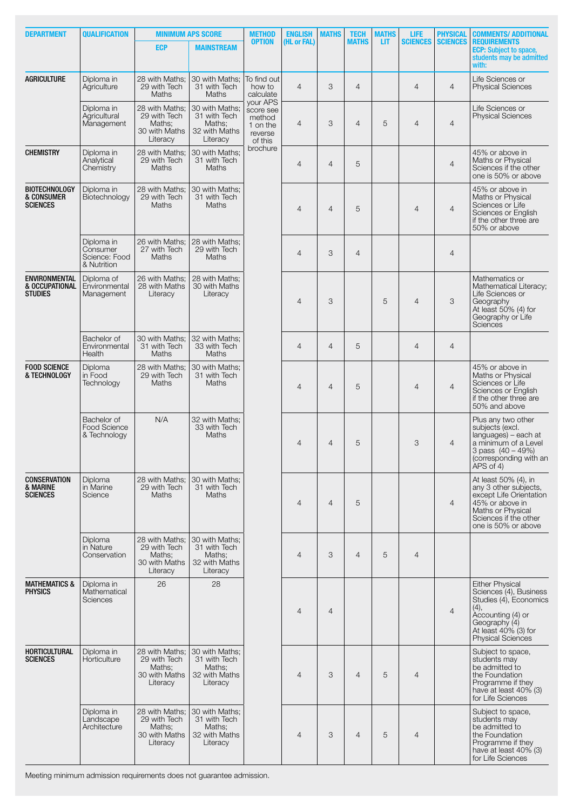| <b>DEPARTMENT</b>                                        | <b>QUALIFICATION</b>                                                                                                   |                                                                       | <b>MINIMUM APS SCORE</b>                                              | <b>METHOD</b>                                         | <b>ENGLISH</b> | <b>MATHS</b>   | <b>TECH</b>    | <b>MATHS</b>   | LIFE                                                                                                                       | <b>PHYSICAL</b> | <b>COMMENTS/ ADDITIONAL</b>                                                                                                                                                  |   |                |                                                                                                                                                     |
|----------------------------------------------------------|------------------------------------------------------------------------------------------------------------------------|-----------------------------------------------------------------------|-----------------------------------------------------------------------|-------------------------------------------------------|----------------|----------------|----------------|----------------|----------------------------------------------------------------------------------------------------------------------------|-----------------|------------------------------------------------------------------------------------------------------------------------------------------------------------------------------|---|----------------|-----------------------------------------------------------------------------------------------------------------------------------------------------|
|                                                          |                                                                                                                        | <b>ECP</b>                                                            | <b>MAINSTREAM</b>                                                     | <b>OPTION</b>                                         | (HL or FAL)    |                | <b>MATHS</b>   | LІТ            | <b>SCIENCES</b>                                                                                                            | <b>SCIENCES</b> | <b>REQUIREMENTS</b><br><b>ECP:</b> Subject to space,<br>students may be admitted<br>with:                                                                                    |   |                |                                                                                                                                                     |
| <b>AGRICULTURE</b>                                       | Diploma in<br>Agriculture                                                                                              | 28 with Maths;<br>29 with Tech<br>Maths                               | 30 with Maths;<br>31 with Tech<br><b>Maths</b>                        | To find out<br>how to<br>calculate<br>your APS        | $\overline{4}$ | 3              | $\overline{4}$ |                | $\overline{4}$                                                                                                             | $\overline{4}$  | Life Sciences or<br><b>Physical Sciences</b>                                                                                                                                 |   |                |                                                                                                                                                     |
|                                                          | Diploma in<br>Agricultural<br>Management                                                                               | 28 with Maths:<br>29 with Tech<br>Maths:<br>30 with Maths<br>Literacy | 30 with Maths:<br>31 with Tech<br>Maths:<br>32 with Maths<br>Literacy | score see<br>method<br>1 on the<br>reverse<br>of this | $\overline{4}$ | 3              | $\overline{4}$ | 5              | $\overline{4}$                                                                                                             | $\overline{4}$  | Life Sciences or<br><b>Physical Sciences</b>                                                                                                                                 |   |                |                                                                                                                                                     |
| <b>CHEMISTRY</b>                                         | Diploma in<br>Analytical<br>Chemistry                                                                                  | 28 with Maths;<br>29 with Tech<br>Maths                               | 30 with Maths:<br>31 with Tech<br>Maths                               | brochure                                              | $\overline{4}$ | $\overline{4}$ | 5              |                |                                                                                                                            | $\overline{4}$  | 45% or above in<br>Maths or Physical<br>Sciences if the other<br>one is 50% or above                                                                                         |   |                |                                                                                                                                                     |
| <b>BIOTECHNOLOGY</b><br>& CONSUMER<br><b>SCIENCES</b>    | Diploma in<br>Biotechnology                                                                                            | 28 with Maths:<br>29 with Tech<br>Maths                               | 30 with Maths:<br>31 with Tech<br>Maths                               |                                                       | $\overline{4}$ | $\overline{4}$ | 5              |                | $\overline{4}$                                                                                                             | $\overline{4}$  | 45% or above in<br>Maths or Physical<br>Sciences or Life<br>Sciences or English<br>if the other three are<br>50% or above                                                    |   |                |                                                                                                                                                     |
|                                                          | Diploma in<br>Consumer<br>Science: Food<br>& Nutrition                                                                 | 26 with Maths;<br>27 with Tech<br>Maths                               | 28 with Maths:<br>29 with Tech<br>Maths                               |                                                       | $\overline{4}$ | 3              | $\overline{4}$ |                |                                                                                                                            | $\overline{4}$  |                                                                                                                                                                              |   |                |                                                                                                                                                     |
| <b>ENVIRONMENTAL</b><br>& OCCUPATIONAL<br><b>STUDIES</b> | Diploma of<br>Environmental<br>Management                                                                              | 26 with Maths:<br>28 with Maths<br>Literacy                           | 28 with Maths:<br>30 with Maths<br>Literacy                           |                                                       | $\overline{4}$ | 3              |                | 5              | $\overline{4}$                                                                                                             | 3               | Mathematics or<br>Mathematical Literacy;<br>Life Sciences or<br>Geography<br>At least 50% (4) for<br>Geography or Life<br>Sciences                                           |   |                |                                                                                                                                                     |
|                                                          | Bachelor of<br>Environmental<br>Health                                                                                 | 30 with Maths;<br>31 with Tech<br>Maths                               | 32 with Maths;<br>33 with Tech<br>Maths                               |                                                       | $\overline{4}$ | $\overline{4}$ | 5              |                | $\overline{4}$                                                                                                             | $\overline{4}$  |                                                                                                                                                                              |   |                |                                                                                                                                                     |
| <b>FOOD SCIENCE</b><br>& TECHNOLOGY                      | 28 with Maths;<br>30 with Maths;<br>Diploma<br>in Food<br>29 with Tech<br>31 with Tech<br>Technology<br>Maths<br>Maths |                                                                       | $\overline{4}$                                                        | $\overline{4}$                                        | 5              |                | $\overline{4}$ | $\overline{4}$ | 45% or above in<br>Maths or Physical<br>Sciences or Life<br>Sciences or English<br>if the other three are<br>50% and above |                 |                                                                                                                                                                              |   |                |                                                                                                                                                     |
|                                                          | Bachelor of<br><b>Food Science</b><br>& Technology                                                                     | N/A                                                                   | 32 with Maths;<br>33 with Tech<br>Maths                               |                                                       |                |                |                | $\overline{4}$ | $\overline{4}$                                                                                                             | 5               |                                                                                                                                                                              | 3 | $\overline{4}$ | Plus any two other<br>subjects (excl.<br>languages) - each at<br>a minimum of a Level<br>3 pass $(40 - 49%)$<br>(corresponding with an<br>APS of 4) |
| <b>CONSERVATION</b><br>& MARINE<br><b>SCIENCES</b>       | Diploma<br>in Marine<br>Science                                                                                        | 28 with Maths:<br>29 with Tech<br>Maths                               | 30 with Maths:<br>31 with Tech<br>Maths                               |                                                       | $\overline{4}$ | $\overline{4}$ | 5              |                |                                                                                                                            | $\overline{4}$  | At least 50% (4), in<br>any 3 other subjects,<br>except Life Orientation<br>45% or above in<br>Maths or Physical<br>Sciences if the other<br>one is 50% or above             |   |                |                                                                                                                                                     |
|                                                          | Diploma<br>in Nature<br>Conservation                                                                                   | 28 with Maths;<br>29 with Tech<br>Maths;<br>30 with Maths<br>Literacy | 30 with Maths:<br>31 with Tech<br>Maths;<br>32 with Maths<br>Literacy |                                                       | $\overline{4}$ | 3              | $\overline{4}$ | 5              | $\overline{4}$                                                                                                             |                 |                                                                                                                                                                              |   |                |                                                                                                                                                     |
| <b>MATHEMATICS &amp;</b><br><b>PHYSICS</b>               | Diploma in<br>Mathematical<br>Sciences                                                                                 | 26                                                                    | 28                                                                    |                                                       | $\overline{4}$ | $\overline{4}$ |                |                |                                                                                                                            | $\overline{4}$  | <b>Either Physical</b><br>Sciences (4), Business<br>Studies (4), Economics<br>(4),<br>Accounting (4) or<br>Geography (4)<br>At least 40% (3) for<br><b>Physical Sciences</b> |   |                |                                                                                                                                                     |
| HORTICULTURAL<br><b>SCIENCES</b>                         | Diploma in<br>Horticulture                                                                                             | 28 with Maths:<br>29 with Tech<br>Maths;<br>30 with Maths<br>Literacy | 30 with Maths:<br>31 with Tech<br>Maths:<br>32 with Maths<br>Literacy |                                                       | $\overline{4}$ | 3              | $\overline{4}$ | 5              | $\overline{4}$                                                                                                             |                 | Subject to space,<br>students may<br>be admitted to<br>the Foundation<br>Programme if they<br>have at least 40% (3)<br>for Life Sciences                                     |   |                |                                                                                                                                                     |
|                                                          | Diploma in<br>Landscape<br>Architecture                                                                                | 28 with Maths:<br>29 with Tech<br>Maths;<br>30 with Maths<br>Literacy | 30 with Maths;<br>31 with Tech<br>Maths;<br>32 with Maths<br>Literacy |                                                       | 4              | 3              | $\overline{4}$ | 5              | $\overline{4}$                                                                                                             |                 | Subject to space,<br>students may<br>be admitted to<br>the Foundation<br>Programme if they<br>have at least 40% (3)<br>for Life Sciences                                     |   |                |                                                                                                                                                     |

Meeting minimum admission requirements does not guarantee admission.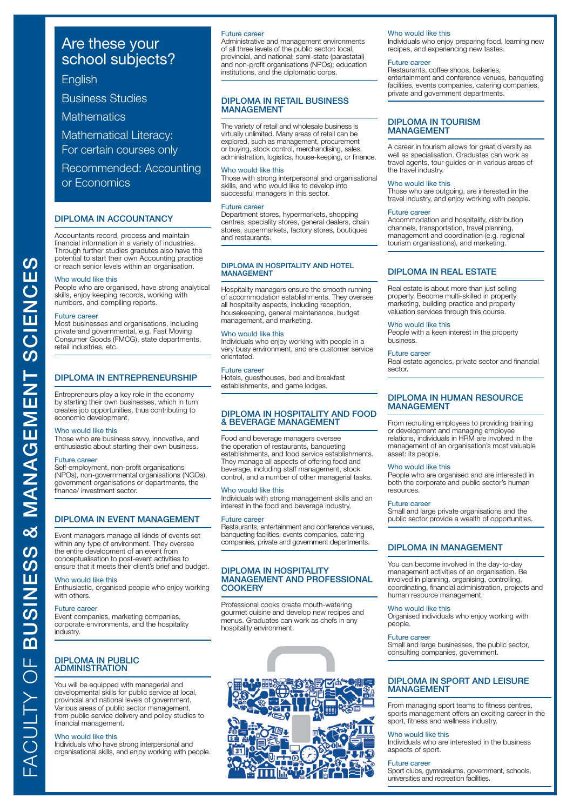# **English**

Business Studies

**Mathematics** 

Mathematical Literacy:

For certain courses only

Recommended: Accounting or Economics

# DIPLOMA IN ACCOUNTANCY

Accountants record, process and maintain financial information in a variety of industries. Through further studies gradutes also have the potential to start their own Accounting practice or reach senior levels within an organisation.

# Who would like this

People who are organised, have strong analytical skills, enjoy keeping records, working with numbers, and compiling reports.

# Future career

Most businesses and organisations, including private and governmental, e.g. Fast Moving Consumer Goods (FMCG), state departments, retail industries, etc.

# DIPLOMA IN ENTREPRENEURSHIP

Entrepreneurs play a key role in the economy by starting their own businesses, which in turn creates job opportunities, thus contributing to economic development.

# Who would like this

Those who are business savvy, innovative, and enthusiastic about starting their own business.

# Future career

Self-employment, non-profit organisations (NPOs), non-governmental organisations (NGOs), government organisations or departments, the finance/ investment sector.

# DIPLOMA IN EVENT MANAGEMENT

Event managers manage all kinds of events set within any type of environment. They oversee the entire development of an event from conceptualisation to post-event activities to ensure that it meets their client's brief and budget.

# Who would like this

Enthusiastic, organised people who enjoy working with others.

### Future career

Event companies, marketing companies, corporate environments, and the hospitality industry.

# DIPLOMA IN PUBLIC ADMINISTRATION

You will be equipped with managerial and developmental skills for public service at local, provincial and national levels of government. Various areas of public sector management, from public service delivery and policy studies to financial management.

# Who would like this

Individuals who have strong interpersonal and organisational skills, and enjoy working with people.

# Future career

Administrative and management environments of all three levels of the public sector: local, provincial, and national; semi-state (parastatal) and non-profit organisations (NPOs); education institutions, and the diplomatic corps.

# DIPLOMA IN RETAIL BUSINESS MANAGEMENT

The variety of retail and wholesale business is virtually unlimited. Many areas of retail can be explored, such as management, procurement or buying, stock control, merchandising, sales, administration, logistics, house-keeping, or finance.

# Who would like this

Those with strong interpersonal and organisational skills, and who would like to develop into successful managers in this sector.

# Future career

Department stores, hypermarkets, shopping centres, speciality stores, general dealers, chain stores, supermarkets, factory stores, boutiques and restaurants.

# DIPLOMA IN HOSPITALITY AND HOTEL **MANAGEMENT**

Hospitality managers ensure the smooth running of accommodation establishments. They oversee all hospitality aspects, including reception, housekeeping, general maintenance, budget management, and marketing.

# Who would like this

Individuals who enjoy working with people in a very busy environment, and are customer service orientated.

# Future career

Hotels, guesthouses, bed and breakfast establishments, and game lodges.

# DIPLOMA IN HOSPITALITY AND FOOD & BEVERAGE MANAGEMENT

Food and beverage managers oversee the operation of restaurants, banqueting establishments, and food service establishments. They manage all aspects of offering food and beverage, including staff management, stock control, and a number of other managerial tasks.

# Who would like this

Individuals with strong management skills and an interest in the food and beverage industry.

# Future career

Restaurants, entertainment and conference venues, banqueting facilities, events companies, catering companies, private and government departments.

# DIPLOMA IN HOSPITALITY MANAGEMENT AND PROFESSIONAL **COOKERY**

Professional cooks create mouth-watering gourmet cuisine and develop new recipes and menus. Graduates can work as chefs in any hospitality environment.



# Who would like this

Individuals who enjoy preparing food, learning new recipes, and experiencing new tastes.

# Future career

Restaurants, coffee shops, bakeries, entertainment and conference venues, banqueting facilities, events companies, catering companies, private and government departments.

# DIPLOMA IN TOURISM MANAGEMENT

A career in tourism allows for great diversity as well as specialisation. Graduates can work as travel agents, tour guides or in various areas of the travel industry.

# Who would like this

Those who are outgoing, are interested in the travel industry, and enjoy working with people.

### Future career

Accommodation and hospitality, distribution channels, transportation, travel planning, management and coordination (e.g. regional tourism organisations), and marketing.

# DIPLOMA IN REAL ESTATE

Real estate is about more than just selling property. Become multi-skilled in property marketing, building practice and property valuation services through this course.

# Who would like this

People with a keen interest in the property business.

# Future career

Real estate agencies, private sector and financial sector.

# DIPLOMA IN HUMAN RESOURCE MANAGEMENT

From recruiting employees to providing training or development and managing employee relations, individuals in HRM are involved in the management of an organisation's most valuable asset: its people.

# Who would like this

People who are organised and are interested in both the corporate and public sector's human resources.

# Future career

Small and large private organisations and the public sector provide a wealth of opportunities.

# DIPLOMA IN MANAGEMENT

You can become involved in the day-to-day management activities of an organisation. Be involved in planning, organising, controlling, coordinating, financial administration, projects and human resource management.

# Who would like this

Organised individuals who enjoy working with people.

### Future career

Small and large businesses, the public sector, consulting companies, government.

# DIPLOMA IN SPORT AND LEISURE MANAGEMENT

From managing sport teams to fitness centres, sports management offers an exciting career in the sport, fitness and wellness industry.

# Who would like this

Individuals who are interested in the business aspects of sport.

# Future career

Sport clubs, gymnasiums, government, schools, universities and recreation facilities.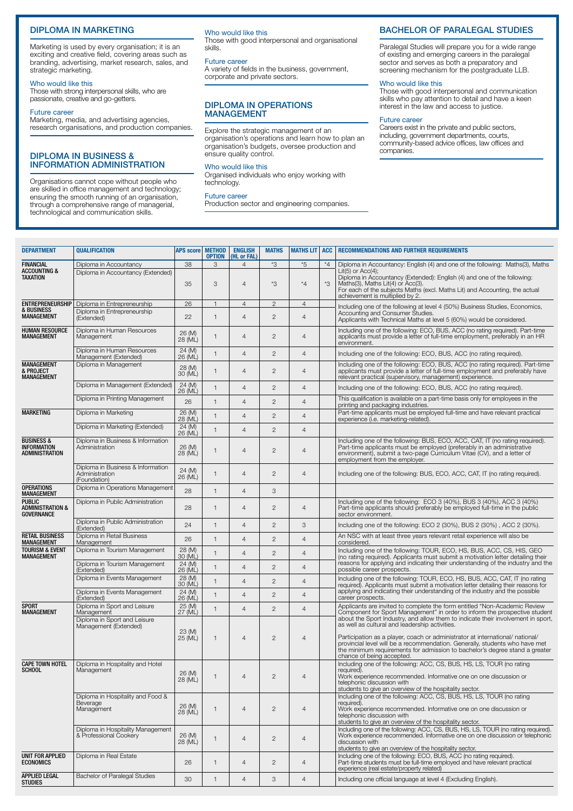# DIPLOMA IN MARKETING

Marketing is used by every organisation; it is an exciting and creative field, covering areas such as branding, advertising, market research, sales, and strategic marketing.

# Who would like this

Those with strong interpersonal skills, who are passionate, creative and go-getters.

# Future career

Marketing, media, and advertising agencies, research organisations, and production companies.

# DIPLOMA IN BUSINESS & INFORMATION ADMINISTRATION

Organisations cannot cope without people who are skilled in office management and technology; ensuring the smooth running of an organisation, through a comprehensive range of managerial, technological and communication skills.

# Who would like this

Those with good interpersonal and organisational skills.

# Future career

A variety of fields in the business, government, corporate and private sectors.

# DIPLOMA IN OPERATIONS **MANAGEMENT**

Explore the strategic management of an organisation's operations and learn how to plan an organisation's budgets, oversee production and ensure quality control.

# Who would like this

Organised individuals who enjoy working with technology.

# Future career

Production sector and engineering companies.

# BACHELOR OF PARALEGAL STUDIES

Paralegal Studies will prepare you for a wide range of existing and emerging careers in the paralegal sector and serves as both a preparatory and screening mechanism for the postgraduate LLB.

# Who would like this

Those with good interpersonal and communication skills who pay attention to detail and have a keen interest in the law and access to justice.

# Future career

Careers exist in the private and public sectors, including, government departments, courts, community-based advice offices, law offices and companies.

| <b>DEPARTMENT</b>                                                 | <b>QUALIFICATION</b>                                                       | <b>APS score</b>  | <b>METHOD</b><br><b>OPTION</b> | <b>ENGLISH</b><br>(HL or FAL) | <b>MATHS</b>   | <b>MATHS LIT</b> | <b>ACC</b> | <b>RECOMMENDATIONS AND FURTHER REQUIREMENTS</b>                                                                                                                                                                                                                                                                            |
|-------------------------------------------------------------------|----------------------------------------------------------------------------|-------------------|--------------------------------|-------------------------------|----------------|------------------|------------|----------------------------------------------------------------------------------------------------------------------------------------------------------------------------------------------------------------------------------------------------------------------------------------------------------------------------|
| <b>FINANCIAL</b>                                                  | Diploma in Accountancy                                                     | 38                | 3                              | $\overline{4}$                | $*3$           | *5               | $*4$       | Diploma in Accountancy: English (4) and one of the following: Maths(3), Maths                                                                                                                                                                                                                                              |
| <b>ACCOUNTING &amp;</b><br>TAXATION                               | Diploma in Accountancy (Extended)                                          | 35                | 3                              | $\overline{4}$                | *3             | $^{\star}4$      | *3         | $Lit(5)$ or $Acc(4)$ ;<br>Diploma in Accountancy (Extended): English (4) and one of the following:<br>Maths(3), Maths Lit(4) or Acc(3).<br>For each of the subjects Maths (excl. Maths Lit) and Accounting, the actual<br>achievement is multiplied by 2.                                                                  |
| <b>ENTREPRENEURSHIP</b>                                           | Diploma in Entrepreneurship                                                | 26                | $\mathbf{1}$                   | $\overline{4}$                | $\overline{c}$ | $\overline{4}$   |            | Including one of the following at level 4 (50%) Business Studies, Economics,                                                                                                                                                                                                                                               |
| <b>&amp; BUSINESS</b><br><b>MANAGEMENT</b>                        | Diploma in Entrepreneurship<br>(Extended)                                  | 22                | $\mathbf{1}$                   | 4                             | $\overline{c}$ | $\overline{4}$   |            | Accounting and Consumer Studies.<br>Applicants with Technical Maths at level 5 (60%) would be considered.                                                                                                                                                                                                                  |
| <b>HUMAN RESOURCE</b><br>MANAGEMENT                               | Diploma in Human Resources<br>Management                                   | 26 (M)<br>28 (ML) | $\mathbf{1}$                   | 4                             | $\mathbf{2}$   | $\overline{4}$   |            | Including one of the following: ECO, BUS, ACC (no rating required). Part-time<br>applicants must provide a letter of full-time employment, preferably in an HR<br>environment.                                                                                                                                             |
|                                                                   | Diploma in Human Resources<br>Management (Extended)                        | 24 (M)<br>26 (ML) | $\mathbf{1}$                   | 4                             | $\overline{c}$ | $\overline{4}$   |            | Including one of the following: ECO, BUS, ACC (no rating required).                                                                                                                                                                                                                                                        |
| <b>MANAGEMENT</b><br>& PROJECT<br><b>MANAGEMENT</b>               | Diploma in Management                                                      | 28 (M)<br>30 (ML) | 1                              | 4                             | $\overline{2}$ | $\overline{4}$   |            | Including one of the following: ECO, BUS, ACC (no rating required). Part-time<br>applicants must provide a letter of full-time employment and preferably have<br>relevant practical (supervisory, management) experience.                                                                                                  |
|                                                                   | Diploma in Management (Extended)                                           | 24 (M)<br>26 (ML) | $\mathbf{1}$                   | $\overline{4}$                | $\overline{2}$ | $\overline{4}$   |            | Including one of the following: ECO, BUS, ACC (no rating required).                                                                                                                                                                                                                                                        |
|                                                                   | Diploma in Printing Management                                             | 26                | $\mathbf{1}$                   | $\overline{4}$                | $\overline{2}$ | $\overline{4}$   |            | This qualification is available on a part-time basis only for employees in the<br>printing and packaging industries.                                                                                                                                                                                                       |
| <b>MARKETING</b>                                                  | Diploma in Marketing                                                       | 26 (M)<br>28 (ML) | $\mathbf{1}$                   | $\overline{4}$                | $\overline{c}$ | $\overline{4}$   |            | Part-time applicants must be employed full-time and have relevant practical<br>experience (i.e. marketing-related)                                                                                                                                                                                                         |
|                                                                   | Diploma in Marketing (Extended)                                            | 24 (M)<br>26 (ML) | $\mathbf{1}$                   | 4                             | $\overline{c}$ | $\overline{4}$   |            |                                                                                                                                                                                                                                                                                                                            |
| <b>BUSINESS &amp;</b><br><b>INFORMATION</b><br>ADMINISTRATION     | Diploma in Business & Information<br>Administration                        | 26 (M)<br>28 (ML) | $\mathbf{1}$                   | $\overline{4}$                | $\overline{2}$ | $\overline{4}$   |            | Including one of the following: BUS, ECO, ACC, CAT, IT (no rating required).<br>Part-time applicants must be employed (preferably in an administrative<br>environment), submit a two-page Curriculum Vitae (CV), and a letter of<br>employment from the employer.                                                          |
|                                                                   | Diploma in Business & Information<br>Administration<br>(Foundation)        | 24 (M)<br>26 (ML) | $\mathbf{1}$                   | $\overline{4}$                | $\overline{c}$ | $\overline{4}$   |            | Including one of the following: BUS, ECO, ACC, CAT, IT (no rating required).                                                                                                                                                                                                                                               |
| <b>OPERATIONS</b><br><b>MANAGEMENT</b>                            | Diploma in Operations Management                                           | 28                | $\mathbf{1}$                   | 4                             | 3              |                  |            |                                                                                                                                                                                                                                                                                                                            |
| <b>PUBLIC</b><br><b>ADMINISTRATION &amp;</b><br><b>GOVERNANCE</b> | Diploma in Public Administration                                           | 28                | $\mathbf{1}$                   | $\overline{4}$                | $\overline{2}$ | $\overline{4}$   |            | Including one of the following: ECO 3 (40%), BUS 3 (40%), ACC 3 (40%)<br>Part-time applicants should preferably be employed full-time in the public<br>sector environment.                                                                                                                                                 |
|                                                                   | Diploma in Public Administration<br>(Extended)                             | 24                | $\mathbf{1}$                   | $\overline{4}$                | $\overline{c}$ | 3                |            | Including one of the following: ECO 2 (30%), BUS 2 (30%), ACC 2 (30%).                                                                                                                                                                                                                                                     |
| RETAIL BUSINESS<br><b>MANAGEMENT</b>                              | Diploma in Retail Business<br>Management                                   | 26                | $\mathbf{1}$                   | $\overline{4}$                | $\overline{c}$ | $\overline{4}$   |            | An NSC with at least three years relevant retail experience will also be<br>considered.                                                                                                                                                                                                                                    |
| <b>TOURISM &amp; EVENT</b><br><b>MANAGEMENT</b>                   | Diploma in Tourism Management                                              | 28 (M)<br>30 (ML) | $\mathbf{1}$                   | 4                             | $\mathbf{2}$   | $\overline{4}$   |            | Including one of the following: TOUR, ECO, HS, BUS, ACC, CS, HIS, GEO<br>(no rating required). Applicants must submit a motivation letter detailing their                                                                                                                                                                  |
|                                                                   | Diploma in Tourism Management<br>(Extended)                                | 24 (M)<br>26 (ML) | $\mathbf{1}$                   | $\overline{4}$                | $\mathbf{2}$   | $\overline{4}$   |            | reasons for applying and indicating their understanding of the industry and the<br>possible career prospects.                                                                                                                                                                                                              |
|                                                                   | Diploma in Events Management                                               | 28 (M)<br>30 (ML) | $\mathbf{1}$                   | $\overline{4}$                | $\overline{2}$ | $\overline{4}$   |            | Including one of the following: TOUR, ECO, HS, BUS, ACC, CAT, IT (no rating<br>required). Applicants must submit a motivation letter detailing their reasons for<br>applying and indicating their understanding of the industry and the possible                                                                           |
|                                                                   | Diploma in Events Management<br>(Extended)                                 | 24 (M)<br>26 (ML) | $\mathbf{1}$                   | $\overline{4}$                | $\mathbf{2}$   | $\overline{4}$   |            | career prospects.                                                                                                                                                                                                                                                                                                          |
| <b>SPORT</b><br><b>MANAGEMENT</b>                                 | Diploma in Sport and Leisure<br>Management<br>Diploma in Sport and Leisure | 25 (M)<br>27 (ML) | $\mathbf{1}$                   | $\overline{4}$                | $\mathbf{2}$   | $\overline{4}$   |            | Applicants are invited to complete the form entitled "Non-Academic Review<br>Component for Sport Management" in order to inform the prospective student<br>about the Sport Industry, and allow them to indicate their involvement in sport,                                                                                |
|                                                                   | Management (Extended)                                                      | 23 (M)<br>25 (ML) | 1                              | 4                             | $\mathbf{2}$   | $\overline{4}$   |            | as well as cultural and leadership activities.<br>Participation as a player, coach or administrator at international/ national/<br>provincial level will be a recommendation. Generally, students who have met<br>the minimum requirements for admission to bachelor's degree stand a greater<br>chance of being accepted. |
| <b>CAPE TOWN HOTEL</b><br><b>SCHOOL</b>                           | Diploma in Hospitality and Hotel<br>Management                             | 26 (M)<br>28 (ML) |                                | 4                             | 2              | 4                |            | Including one of the following: ACC, CS, BUS, HS, LS, TOUR (no rating<br>required).<br>Work experience recommended. Informative one on one discussion or<br>telephonic discussion with<br>students to give an overview of the hospitality sector.                                                                          |
|                                                                   | Diploma in Hospitality and Food &<br>Beverage<br>Management                | 26 (M)<br>28 (ML) | $\mathbf{1}$                   | $\overline{4}$                | $\mathbf{2}$   | $\overline{4}$   |            | Including one of the following: ACC, CS, BUS, HS, LS, TOUR (no rating<br>required).<br>Work experience recommended. Informative one on one discussion or<br>telephonic discussion with<br>students to give an overview of the hospitality sector.                                                                          |
|                                                                   | Diploma in Hospitality Management<br>& Professional Cookery                | 26 (M)<br>28 (ML) | $\mathbf{1}$                   | $\overline{4}$                | $\overline{c}$ | $\overline{4}$   |            | Including one of the following: ACC, CS, BUS, HS, LS, TOUR (no rating required).<br>Work experience recommended. Informative one on one discussion or telephonic<br>discussion with<br>students to give an overview of the hospitality sector.                                                                             |
| UNIT FOR APPLIED<br><b>ECONOMICS</b>                              | Diploma in Real Estate                                                     | 26                | $\mathbf{1}$                   | $\overline{4}$                | $\mathbf{2}$   | $\overline{4}$   |            | Including one of the following: ECO, BUS, ACC (no rating required).<br>Part-time students must be full-time employed and have relevant practical<br>experience (real estate/property related)                                                                                                                              |
| APPLIED LEGAL<br><b>STUDIES</b>                                   | Bachelor of Paralegal Studies                                              | 30                | $\mathbf{1}$                   | $\overline{4}$                | 3              | $\overline{4}$   |            | Including one official language at level 4 (Excluding English).                                                                                                                                                                                                                                                            |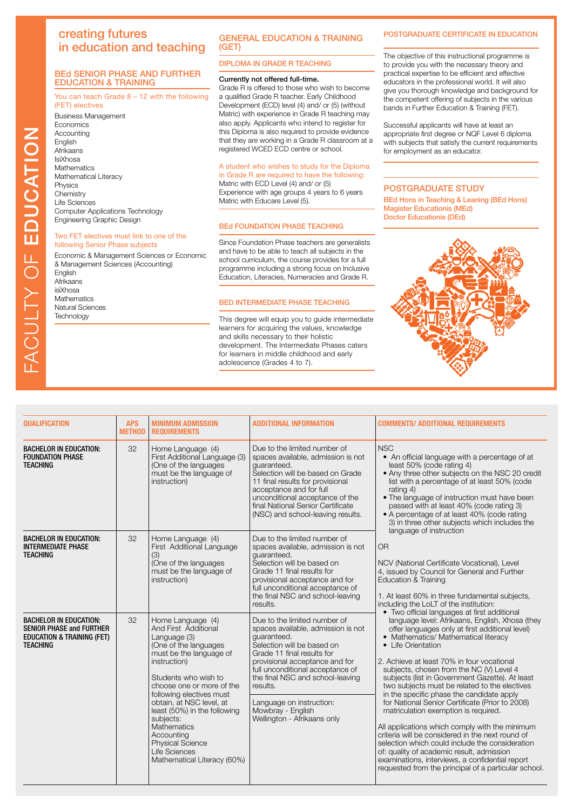# creating futures in education and teaching

# BEd SENIOR PHASE AND FURTHER EDUCATION & TRAINING

You can teach Grade 8 – 12 with the following

# (FET) electives

Business Management Economics **Accounting** English Afrikaans IsiXhosa **Mathematics** Mathematical Literacy Physics **Chemistry** Life Sciences Computer Applications Technology Engineering Graphic Design

# Two FET electives must link to one of the following Senior Phase subjects

Economic & Management Sciences or Economic & Management Sciences (Accounting) English Afrikaans isiXhosa **Mathematics** Natural Sciences **Technology** 

# GENERAL EDUCATION & TRAINING (GET)

DIPLOMA IN GRADE R TEACHING

# Currently not offered full-time.

Grade R is offered to those who wish to become a qualified Grade R teacher. Early Childhood Development (ECD) level (4) and/ or (5) (without Matric) with experience in Grade R teaching may also apply. Applicants who intend to register for this Diploma is also required to provide evidence that they are working in a Grade R classroom at a registered WCED ECD centre or school.

# A student who wishes to study for the Diploma

in Grade R are required to have the following: Matric with ECD Level (4) and/ or (5) Experience with age groups 4 years to 6 years Matric with Educare Level (5).

# BEd FOUNDATION PHASE TEACHING

Since Foundation Phase teachers are generalists and have to be able to teach all subjects in the school curriculum, the course provides for a full programme including a strong focus on Inclusive Education, Literacies, Numeracies and Grade R.

# BED INTERMEDIATE PHASE TEACHING

This degree will equip you to guide intermediate learners for acquiring the values, knowledge and skills necessary to their holistic development. The Intermediate Phases caters for learners in middle childhood and early adolescence (Grades 4 to 7).

# POSTGRADUATE CERTIFICATE IN EDUCATION

The objective of this instructional programme is to provide you with the necessary theory and practical expertise to be efficient and effective educators in the professional world. It will also give you thorough knowledge and background for the competent offering of subjects in the various bands in Further Education & Training (FET).

Successful applicants will have at least an appropriate first degree or NQF Level 6 diploma with subjects that satisfy the current requirements for employment as an educator.

# POSTGRADUATE STUDY

BEd Hons in Teaching & Leaning (BEd Hons) Magister Educationis (MEd) Doctor Educationis (DEd)



| <b>QUALIFICATION</b>                                                                                                         | <b>APS</b><br><b>METHOD</b> | <b>MINIMUM ADMISSION</b><br><b>REQUIREMENTS</b>                                                                                                                                                                                                                                                                                                                                                        | <b>ADDITIONAL INFORMATION</b>                                                                                                                                                                                                                                                                                                                       | <b>COMMENTS/ ADDITIONAL REQUIREMENTS</b>                                                                                                                                                                                                                                                                                                                                                                                                                                                                                                                                                                                                                                                                                                                                                                                                                                |
|------------------------------------------------------------------------------------------------------------------------------|-----------------------------|--------------------------------------------------------------------------------------------------------------------------------------------------------------------------------------------------------------------------------------------------------------------------------------------------------------------------------------------------------------------------------------------------------|-----------------------------------------------------------------------------------------------------------------------------------------------------------------------------------------------------------------------------------------------------------------------------------------------------------------------------------------------------|-------------------------------------------------------------------------------------------------------------------------------------------------------------------------------------------------------------------------------------------------------------------------------------------------------------------------------------------------------------------------------------------------------------------------------------------------------------------------------------------------------------------------------------------------------------------------------------------------------------------------------------------------------------------------------------------------------------------------------------------------------------------------------------------------------------------------------------------------------------------------|
| <b>BACHELOR IN EDUCATION:</b><br><b>FOUNDATION PHASE</b><br><b>TEACHING</b>                                                  | 32                          | Home Language (4)<br>First Additional Language (3)<br>(One of the languages<br>must be the language of<br>instruction)                                                                                                                                                                                                                                                                                 | Due to the limited number of<br>spaces available, admission is not<br>guaranteed.<br>Selection will be based on Grade<br>11 final results for provisional<br>acceptance and for full<br>unconditional acceptance of the<br>final National Senior Certificate<br>(NSC) and school-leaving results.                                                   | <b>NSC</b><br>• An official language with a percentage of at<br>least 50% (code rating 4)<br>• Any three other subjects on the NSC 20 credit<br>list with a percentage of at least 50% (code<br>rating 4)<br>• The language of instruction must have been<br>passed with at least 40% (code rating 3)<br>• A percentage of at least 40% (code rating<br>3) in three other subjects which includes the<br>language of instruction                                                                                                                                                                                                                                                                                                                                                                                                                                        |
| <b>BACHELOR IN EDUCATION:</b><br><b>INTERMEDIATE PHASE</b><br><b>TEACHING</b>                                                | 32                          | Home Language (4)<br>First Additional Language<br>(3)<br>(One of the languages<br>must be the language of<br>instruction)                                                                                                                                                                                                                                                                              | Due to the limited number of<br>spaces available, admission is not<br>quaranteed.<br>Selection will be based on<br>Grade 11 final results for<br>provisional acceptance and for<br>full unconditional acceptance of<br>the final NSC and school-leaving<br>results.                                                                                 | <b>OR</b><br>NCV (National Certificate Vocational), Level<br>4, issued by Council for General and Further<br><b>Education &amp; Training</b><br>1. At least 60% in three fundamental subjects,<br>including the LoLT of the institution:                                                                                                                                                                                                                                                                                                                                                                                                                                                                                                                                                                                                                                |
| <b>BACHELOR IN EDUCATION:</b><br><b>SENIOR PHASE and FURTHER</b><br><b>EDUCATION &amp; TRAINING (FET)</b><br><b>TEACHING</b> | 32                          | Home Language (4)<br>And First Additional<br>Language (3)<br>(One of the languages<br>must be the language of<br>instruction)<br>Students who wish to<br>choose one or more of the<br>following electives must<br>obtain, at NSC level, at<br>least (50%) in the following<br>subjects:<br><b>Mathematics</b><br>Accounting<br><b>Physical Science</b><br>Life Sciences<br>Mathematical Literacy (60%) | Due to the limited number of<br>spaces available, admission is not<br>guaranteed.<br>Selection will be based on<br>Grade 11 final results for<br>provisional acceptance and for<br>full unconditional acceptance of<br>the final NSC and school-leaving<br>results.<br>Language on instruction:<br>Mowbray - English<br>Wellington - Afrikaans only | • Two official languages at first additional<br>language level: Afrikaans, English, Xhosa (they<br>offer languages only at first additional level)<br>• Mathematics/ Mathematical literacy<br>• Life Orientation<br>2. Achieve at least 70% in four vocational<br>subjects, chosen from the NC (V) Level 4<br>subjects (list in Government Gazette). At least<br>two subjects must be related to the electives<br>in the specific phase the candidate apply<br>for National Senior Certificate (Prior to 2008)<br>matriculation exemption is required.<br>All applications which comply with the minimum<br>criteria will be considered in the next round of<br>selection which could include the consideration<br>of: quality of academic result, admission<br>examinations, interviews, a confidential report<br>requested from the principal of a particular school. |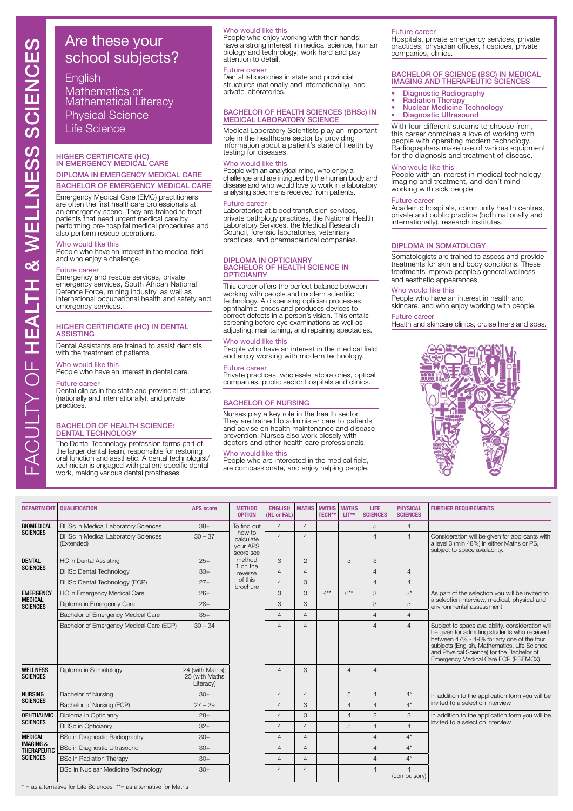English

Mathematics or Mathematical Literacy Physical Science Life Science

# HIGHER CERTIFICATE (HC) IN EMERGENCY MEDICAL CARE DIPLOMA IN EMERGENCY MEDICAL CARE

# BACHELOR OF EMERGENCY MEDICAL CARE

Emergency Medical Care (EMC) practitioners are often the first healthcare professionals at an emergency scene. They are trained to treat patients that need urgent medical care by performing pre-hospital medical procedures and also perform rescue operations.

# Who would like this

People who have an interest in the medical field and who enjoy a challenge.

# Future career

Emergency and rescue services, private emergency services, South African National Defence Force, mining industry, as well as international occupational health and safety and emergency services.

# HIGHER CERTIFICATE (HC) IN DENTAL ASSISTING

Dental Assistants are trained to assist dentists with the treatment of patients.

# Who would like this

People who have an interest in dental care.

# Future career

Dental clinics in the state and provincial structures (nationally and internationally), and private practices.

# BACHELOR OF HEALTH SCIENCE: DENTAL TECHNOLOGY

The Dental Technology profession forms part of the larger dental team, responsible for restoring oral function and aesthetic. A dental technologist/ technician is engaged with patient-specific dental work, making various dental prostheses.

# Who would like this

People who enjoy working with their hands; have a strong interest in medical science, human biology and technology; work hard and pay attention to detail.

# Future career

Dental laboratories in state and provincial structures (nationally and internationally), and private laboratories.

# BACHELOR OF HEALTH SCIENCES (BHSc) IN MEDICAL LABORATORY SCIENCE

Medical Laboratory Scientists play an important role in the healthcare sector by providing information about a patient's state of health by testing for diseases.

# Who would like this

People with an analytical mind, who enjoy a challenge and are intrigued by the human body and disease and who would love to work in a laboratory analysing specimens received from patients.

### Future career

Laboratories at blood transfusion services, private pathology practices, the National Health Laboratory Services, the Medical Research Council, forensic laboratories, veterinary practices, and pharmaceutical companies.

# DIPLOMA IN OPTICIANRY BACHELOR OF HEALTH SCIENCE IN **OPTICIANRY**

This career offers the perfect balance between working with people and modern scientific technology. A dispensing optician processes ophthalmic lenses and produces devices to correct defects in a person's vision. This entails screening before eye examinations as well as adjusting, maintaining, and repairing spectacles.

# Who would like this

People who have an interest in the medical field and enjoy working with modern technology.

# Future career

Private practices, wholesale laboratories, optical companies, public sector hospitals and clinics.

# BACHELOR OF NURSING

Nurses play a key role in the health sector. They are trained to administer care to patients and advise on health maintenance and disease prevention. Nurses also work closely with doctors and other health care professionals.

# Who would like this

People who are interested in the medical field, are compassionate, and enjoy helping people.

# **Future career**

Hospitals, private emergency services, private practices, physician offices, hospices, private companies, clinics.

# BACHELOR OF SCIENCE (BSC) IN MEDICAL IMAGING AND THERAPEUTIC SCIENCES

- 
- 
- Diagnostic Radiography Radiation Therapy Nuclear Medicine Technology Diagnostic Ultrasound
- 

With four different streams to choose from, this career combines a love of working with people with operating modern technology. Radiographers make use of various equipment for the diagnosis and treatment of disease.

# Who would like this

People with an interest in medical technology imaging and treatment, and don't mind working with sick people.

### Future career

Academic hospitals, community health centres, private and public practice (both nationally and internationally), research institutes.

# DIPLOMA IN SOMATOLOGY

Somatologists are trained to assess and provide treatments for skin and body conditions. These treatments improve people's general wellness and aesthetic appearances.

### Who would like this

People who have an interest in health and skincare, and who enjoy working with people.

# **Future career**

Health and skincare clinics, cruise liners and spas.



| <b>DEPARTMENT</b>                          | <b>OUALIFICATION</b>                                     | <b>APS</b> score                                | <b>METHOD</b><br><b>OPTION</b>               | <b>ENGLISH</b><br>(HL or FAL)              |                | <b>MATHS MATHS</b><br>TECH** | <b>MATHS</b><br>LIT**                           | <b>LIFE</b><br><b>SCIENCES</b> | <b>PHYSICAL</b><br><b>SCIENCES</b> | <b>FURTHER REQUIREMENTS</b>                                                                                                                                                                                                                                                         |                |       |                                                 |  |  |                |   |  |  |                |       |  |
|--------------------------------------------|----------------------------------------------------------|-------------------------------------------------|----------------------------------------------|--------------------------------------------|----------------|------------------------------|-------------------------------------------------|--------------------------------|------------------------------------|-------------------------------------------------------------------------------------------------------------------------------------------------------------------------------------------------------------------------------------------------------------------------------------|----------------|-------|-------------------------------------------------|--|--|----------------|---|--|--|----------------|-------|--|
| <b>BIOMEDICAL</b>                          | <b>BHSc in Medical Laboratory Sciences</b>               | $38+$                                           | To find out                                  | $\overline{4}$                             | $\overline{4}$ |                              |                                                 | 5                              | $\overline{4}$                     |                                                                                                                                                                                                                                                                                     |                |       |                                                 |  |  |                |   |  |  |                |       |  |
| <b>SCIENCES</b>                            | <b>BHSc in Medical Laboratory Sciences</b><br>(Extended) | $30 - 37$                                       | how to<br>calculate<br>your APS<br>score see | $\overline{4}$                             | $\overline{4}$ |                              |                                                 | $\Delta$                       | $\overline{4}$                     | Consideration will be given for applicants with<br>a level 3 (min 48%) in either Maths or PS,<br>subject to space availability.                                                                                                                                                     |                |       |                                                 |  |  |                |   |  |  |                |       |  |
| <b>DENTAL</b>                              | <b>HC</b> in Dental Assisting                            | $25+$                                           | method<br>1 on the                           | 3                                          | $\overline{2}$ |                              | 3                                               | 3                              |                                    |                                                                                                                                                                                                                                                                                     |                |       |                                                 |  |  |                |   |  |  |                |       |  |
| <b>SCIENCES</b>                            | <b>BHSc Dental Technology</b>                            | $33+$                                           | reverse                                      | $\overline{4}$                             | $\overline{4}$ |                              |                                                 | $\overline{A}$                 | $\overline{4}$                     |                                                                                                                                                                                                                                                                                     |                |       |                                                 |  |  |                |   |  |  |                |       |  |
|                                            | BHSc Dental Technology (ECP)                             | $27+$                                           | of this<br>brochure                          | $\overline{4}$                             | 3              |                              |                                                 | $\overline{4}$                 | $\overline{4}$                     |                                                                                                                                                                                                                                                                                     |                |       |                                                 |  |  |                |   |  |  |                |       |  |
| <b>EMERGENCY</b>                           | HC in Emergency Medical Care                             | $26+$                                           |                                              | 3                                          | 3              | $4**$                        | $6***$                                          | $\mathcal{R}$                  | $3^*$                              | As part of the selection you will be invited to                                                                                                                                                                                                                                     |                |       |                                                 |  |  |                |   |  |  |                |       |  |
| <b>MEDICAL</b><br><b>SCIENCES</b>          | Diploma in Emergency Care                                | $28+$                                           |                                              | 3                                          | 3              |                              |                                                 | 3                              | 3                                  | a selection interview, medical, physical and<br>environmental assessment                                                                                                                                                                                                            |                |       |                                                 |  |  |                |   |  |  |                |       |  |
|                                            | Bachelor of Emergency Medical Care                       | $35+$                                           |                                              | $\overline{4}$                             | $\overline{4}$ |                              |                                                 | $\overline{4}$                 | $\overline{4}$                     |                                                                                                                                                                                                                                                                                     |                |       |                                                 |  |  |                |   |  |  |                |       |  |
|                                            | Bachelor of Emergency Medical Care (ECP)                 | $30 - 34$                                       |                                              | $\overline{4}$                             | $\overline{4}$ |                              |                                                 | $\overline{4}$                 | $\overline{4}$                     | Subject to space availability, consideration will<br>be given for admitting students who received<br>between 47% - 49% for any one of the four<br>subjects (English, Mathematics, Life Science<br>and Physical Science) for the Bachelor of<br>Emergency Medical Care ECP (PBEMCX). |                |       |                                                 |  |  |                |   |  |  |                |       |  |
| <b>WELLNESS</b><br><b>SCIENCES</b>         | Diploma in Somatology                                    | 24 (with Maths);<br>25 (with Maths<br>Literacy) |                                              | $\overline{4}$                             | 3              |                              | $\overline{4}$                                  | $\overline{4}$                 |                                    |                                                                                                                                                                                                                                                                                     |                |       |                                                 |  |  |                |   |  |  |                |       |  |
| <b>NURSING</b>                             | <b>Bachelor of Nursing</b>                               | $30+$                                           |                                              |                                            |                |                              | $\overline{4}$                                  | $\overline{4}$                 |                                    | 5                                                                                                                                                                                                                                                                                   | $\overline{4}$ | $4^*$ | In addition to the application form you will be |  |  |                |   |  |  |                |       |  |
| <b>SCIENCES</b>                            | Bachelor of Nursing (ECP)                                | $27 - 29$                                       |                                              | $\overline{4}$                             | 3              |                              | $\overline{4}$                                  | $\overline{4}$                 | $4^*$                              | invited to a selection interview                                                                                                                                                                                                                                                    |                |       |                                                 |  |  |                |   |  |  |                |       |  |
| <b>OPHTHALMIC</b>                          | Diploma in Opticianry                                    | $28+$                                           |                                              | 3<br>3<br>$\overline{4}$<br>$\overline{4}$ |                | 3                            | In addition to the application form you will be |                                |                                    |                                                                                                                                                                                                                                                                                     |                |       |                                                 |  |  |                |   |  |  |                |       |  |
| <b>SCIENCES</b>                            | <b>BHSc in Opticianry</b>                                | $32+$                                           |                                              | $\overline{4}$                             | $\overline{4}$ |                              | 5                                               | $\overline{4}$                 | $\overline{4}$                     | invited to a selection interview                                                                                                                                                                                                                                                    |                |       |                                                 |  |  |                |   |  |  |                |       |  |
| <b>MEDICAL</b>                             | <b>BSc in Diagnostic Radiography</b>                     | $30+$                                           |                                              |                                            |                | $\overline{4}$               | $\overline{4}$                                  |                                |                                    | $\overline{4}$                                                                                                                                                                                                                                                                      | $4^*$          |       |                                                 |  |  |                |   |  |  |                |       |  |
| <b>IMAGING &amp;</b><br><b>THERAPEUTIC</b> | <b>BSc in Diagnostic Ultrasound</b>                      | $30+$                                           |                                              | $\overline{4}$                             | $\overline{4}$ |                              |                                                 | $\overline{4}$                 | $4^*$                              |                                                                                                                                                                                                                                                                                     |                |       |                                                 |  |  |                |   |  |  |                |       |  |
| <b>SCIENCES</b>                            | <b>BSc in Radiation Therapy</b>                          | $30+$                                           |                                              |                                            |                |                              |                                                 |                                |                                    |                                                                                                                                                                                                                                                                                     |                |       |                                                 |  |  | $\overline{4}$ | 4 |  |  | $\overline{4}$ | $4^*$ |  |
|                                            | BSc in Nuclear Medicine Technology                       | $30+$                                           |                                              | $\overline{4}$                             | $\overline{4}$ |                              |                                                 | $\overline{4}$                 | $\Delta$<br>(compulsory)           |                                                                                                                                                                                                                                                                                     |                |       |                                                 |  |  |                |   |  |  |                |       |  |

 $* =$  as alternative for Life Sciences  $** =$  as alternative for Maths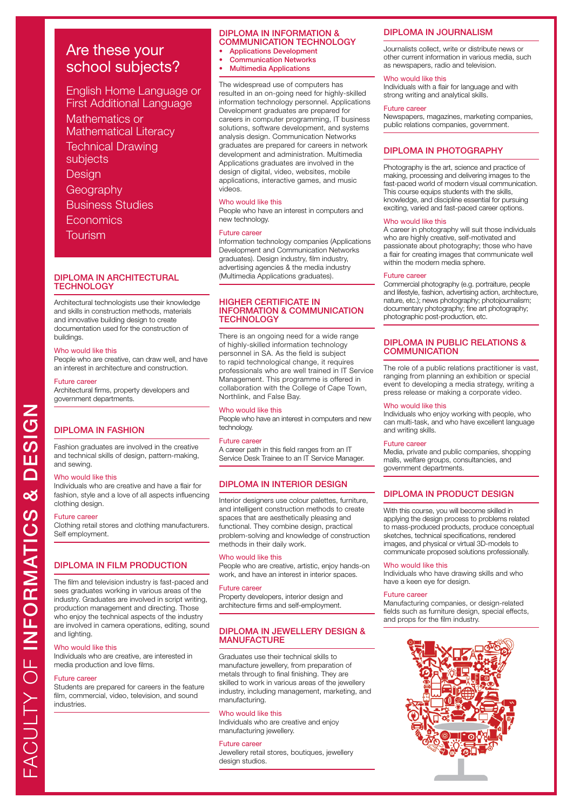English Home Language or First Additional Language Mathematics or Mathematical Literacy Technical Drawing subjects **Design Geography** Business Studies **Economics** Tourism

# DIPLOMA IN ARCHITECTURAL **TECHNOLOGY**

Architectural technologists use their knowledge and skills in construction methods, materials and innovative building design to create documentation used for the construction of buildings.

# Who would like this

People who are creative, can draw well, and have an interest in architecture and construction.

# Future career

Architectural firms, property developers and government departments.

# DIPLOMA IN FASHION

Fashion graduates are involved in the creative and technical skills of design, pattern-making, and sewing.

# Who would like this

Individuals who are creative and have a flair for fashion, style and a love of all aspects influencing clothing design.

### Future career

Clothing retail stores and clothing manufacturers. Self employment.

# DIPLOMA IN FILM PRODUCTION

The film and television industry is fast-paced and sees graduates working in various areas of the industry. Graduates are involved in script writing, production management and directing. Those who enjoy the technical aspects of the industry are involved in camera operations, editing, sound and lighting.

# Who would like this

Individuals who are creative, are interested in media production and love films.

### Future career

Students are prepared for careers in the feature film, commercial, video, television, and sound industries.

# DIPLOMA IN INFORMATION & COMMUNICATION TECHNOLOGY

- Applications Development • Communication Networks
- Multimedia Applications
- 

The widespread use of computers has resulted in an on-going need for highly-skilled information technology personnel. Applications Development graduates are prepared for careers in computer programming, IT business solutions, software development, and systems analysis design. Communication Networks graduates are prepared for careers in network development and administration. Multimedia Applications graduates are involved in the design of digital, video, websites, mobile applications, interactive games, and music videos.

# Who would like this

People who have an interest in computers and new technology.

### Future career

Information technology companies (Applications Development and Communication Networks graduates). Design industry, film industry, advertising agencies & the media industry (Multimedia Applications graduates).

# HIGHER CERTIFICATE IN INFORMATION & COMMUNICATION **TECHNOLOGY**

There is an ongoing need for a wide range of highly-skilled information technology personnel in SA. As the field is subject to rapid technological change, it requires professionals who are well trained in IT Service Management. This programme is offered in collaboration with the College of Cape Town, Northlink, and False Bay.

# Who would like this

People who have an interest in computers and new technology.

# Future career

A career path in this field ranges from an IT Service Desk Trainee to an IT Service Manager.

# DIPLOMA IN INTERIOR DESIGN

Interior designers use colour palettes, furniture, and intelligent construction methods to create spaces that are aesthetically pleasing and functional. They combine design, practical problem-solving and knowledge of construction methods in their daily work.

# Who would like this

People who are creative, artistic, enjoy hands-on work, and have an interest in interior spaces.

# Future career

Property developers, interior design and architecture firms and self-employment.

# DIPLOMA IN JEWELLERY DESIGN & **MANUFACTURE**

Graduates use their technical skills to manufacture jewellery, from preparation of metals through to final finishing. They are skilled to work in various areas of the jewellery industry, including management, marketing, and manufacturing.

# Who would like this

Individuals who are creative and enjoy manufacturing jewellery.

# Future career

Jewellery retail stores, boutiques, jewellery design studios.

# DIPLOMA IN JOURNALISM

Journalists collect, write or distribute news or other current information in various media, such as newspapers, radio and television.

# Who would like this

Individuals with a flair for language and with strong writing and analytical skills.

# Future career

Newspapers, magazines, marketing companies, public relations companies, government.

# DIPLOMA IN PHOTOGRAPHY

Photography is the art, science and practice of making, processing and delivering images to the fast-paced world of modern visual communication. This course equips students with the skills, knowledge, and discipline essential for pursuing exciting, varied and fast-paced career options.

### Who would like this

A career in photography will suit those individuals who are highly creative, self-motivated and passionate about photography; those who have a flair for creating images that communicate well within the modern media sphere.

# Future career

Commercial photography (e.g. portraiture, people and lifestyle, fashion, advertising action, architecture, nature, etc.); news photography; photojournalism; documentary photography; fine art photography; photographic post-production, etc.

# DIPLOMA IN PUBLIC RELATIONS & **COMMUNICATION**

The role of a public relations practitioner is vast, ranging from planning an exhibition or special event to developing a media strategy, writing a press release or making a corporate video.

# Who would like this

Individuals who enjoy working with people, who can multi-task, and who have excellent language and writing skills.

### Future career

Media, private and public companies, shopping malls, welfare groups, consultancies, and government departments.

# DIPLOMA IN PRODUCT DESIGN

With this course, you will become skilled in applying the design process to problems related to mass-produced products, produce conceptual sketches, technical specifications, rendered images, and physical or virtual 3D-models to communicate proposed solutions professionally.

# Who would like this

Individuals who have drawing skills and who have a keen eye for design.

# Future career

Manufacturing companies, or design-related fields such as furniture design, special effects, and props for the film industry.

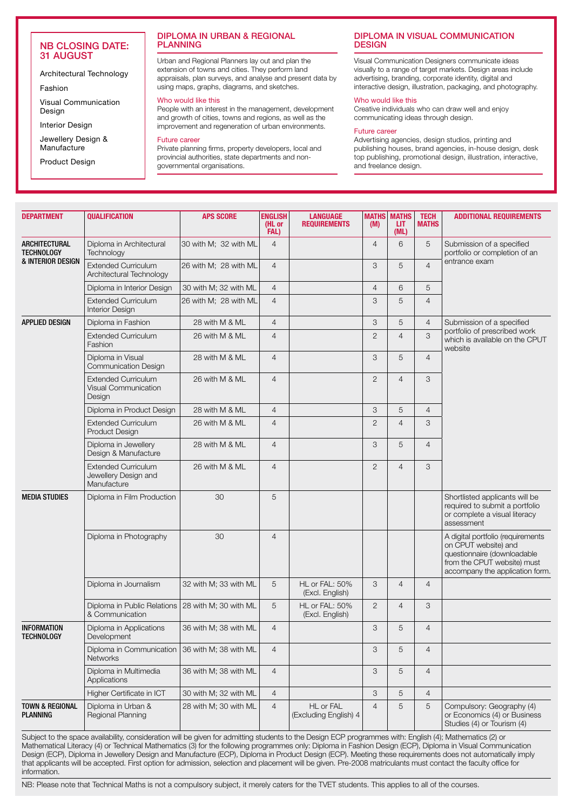# NB CLOSING DATE: 31 AUGUST

Architectural Technology

Fashion

Visual Communication Design

Interior Design

Jewellery Design & Manufacture

Product Design

# DIPLOMA IN URBAN & REGIONAL PLANNING

Urban and Regional Planners lay out and plan the extension of towns and cities. They perform land appraisals, plan surveys, and analyse and present data by using maps, graphs, diagrams, and sketches.

# Who would like this

People with an interest in the management, development and growth of cities, towns and regions, as well as the improvement and regeneration of urban environments.

# Future career

Private planning firms, property developers, local and provincial authorities, state departments and nongovernmental organisations.

# DIPLOMA IN VISUAL COMMUNICATION **DESIGN**

Visual Communication Designers communicate ideas visually to a range of target markets. Design areas include advertising, branding, corporate identity, digital and interactive design, illustration, packaging, and photography.

# Who would like this

Creative individuals who can draw well and enjoy communicating ideas through design.

# Future career

Advertising agencies, design studios, printing and publishing houses, brand agencies, in-house design, desk top publishing, promotional design, illustration, interactive, and freelance design.

| <b>DEPARTMENT</b>                         | <b>QUALIFICATION</b>                                                | <b>APS SCORE</b>      | <b>ENGLISH</b><br>(HL or<br>FAL) | <b>LANGUAGE</b><br><b>REQUIREMENTS</b> | <b>MATHS</b><br>(M) | <b>MATHS</b><br>LIT.<br>(ML) | <b>TECH</b><br><b>MATHS</b> | <b>ADDITIONAL REQUIREMENTS</b>                                                                                                                             |  |
|-------------------------------------------|---------------------------------------------------------------------|-----------------------|----------------------------------|----------------------------------------|---------------------|------------------------------|-----------------------------|------------------------------------------------------------------------------------------------------------------------------------------------------------|--|
| <b>ARCHITECTURAL</b><br><b>TECHNOLOGY</b> | Diploma in Architectural<br>Technology                              | 30 with M; 32 with ML | $\overline{4}$                   |                                        | $\overline{4}$      | 6                            | 5                           | Submission of a specified<br>portfolio or completion of an                                                                                                 |  |
| & INTERIOR DESIGN                         | Extended Curriculum<br>Architectural Technology                     | 26 with M; 28 with ML | $\overline{4}$                   |                                        | 3                   | 5                            | $\overline{4}$              | entrance exam                                                                                                                                              |  |
|                                           | Diploma in Interior Design                                          | 30 with M; 32 with ML | $\overline{4}$                   |                                        | $\overline{4}$      | 6                            | 5                           |                                                                                                                                                            |  |
|                                           | <b>Extended Curriculum</b><br><b>Interior Design</b>                | 26 with M; 28 with ML | $\overline{4}$                   |                                        | 3                   | 5                            | $\overline{4}$              |                                                                                                                                                            |  |
| <b>APPLIED DESIGN</b>                     | Diploma in Fashion                                                  | 28 with M & ML        | $\overline{4}$                   |                                        | 3                   | 5                            | $\overline{4}$              | Submission of a specified                                                                                                                                  |  |
|                                           | <b>Extended Curriculum</b><br>Fashion                               | 26 with M & ML        | $\overline{4}$                   |                                        | 2                   | $\overline{4}$               | 3                           | portfolio of prescribed work<br>which is available on the CPUT<br>website                                                                                  |  |
|                                           | Diploma in Visual<br>Communication Design                           | 28 with M & ML        | $\overline{4}$                   |                                        | 3                   | 5                            | $\overline{4}$              |                                                                                                                                                            |  |
|                                           | <b>Extended Curriculum</b><br><b>Visual Communication</b><br>Design | 26 with M & ML        | $\overline{4}$                   |                                        | 2                   | $\overline{4}$               | 3                           |                                                                                                                                                            |  |
|                                           | Diploma in Product Design                                           | 28 with M & ML        | $\overline{4}$                   |                                        | 3                   | 5                            | $\overline{4}$              |                                                                                                                                                            |  |
|                                           | <b>Extended Curriculum</b><br><b>Product Design</b>                 | 26 with M & ML        | $\overline{4}$                   |                                        | $\overline{2}$      | $\overline{4}$               | 3                           |                                                                                                                                                            |  |
|                                           | Diploma in Jewellery<br>Design & Manufacture                        | 28 with M & ML        | $\overline{4}$                   |                                        | 3                   | 5                            | $\overline{4}$              |                                                                                                                                                            |  |
|                                           | <b>Extended Curriculum</b><br>Jewellery Design and<br>Manufacture   | 26 with M & ML        | $\overline{4}$                   |                                        | 2                   | $\overline{4}$               | 3                           |                                                                                                                                                            |  |
| <b>MEDIA STUDIES</b>                      | Diploma in Film Production                                          | 30                    | 5                                |                                        |                     |                              |                             | Shortlisted applicants will be<br>required to submit a portfolio<br>or complete a visual literacy<br>assessment                                            |  |
|                                           | Diploma in Photography                                              | 30                    | $\overline{4}$                   |                                        |                     |                              |                             | A digital portfolio (requirements<br>on CPUT website) and<br>questionnaire (downloadable<br>from the CPUT website) must<br>accompany the application form. |  |
|                                           | Diploma in Journalism                                               | 32 with M; 33 with ML | 5                                | HL or FAL: 50%<br>(Excl. English)      | 3                   | $\overline{4}$               | $\overline{4}$              |                                                                                                                                                            |  |
|                                           | Diploma in Public Relations<br>& Communication                      | 28 with M; 30 with ML | 5                                | HL or FAL: 50%<br>(Excl. English)      | 2                   | $\overline{4}$               | 3                           |                                                                                                                                                            |  |
| <b>INFORMATION</b><br>TECHNOLOGY          | Diploma in Applications<br>Development                              | 36 with M; 38 with ML | $\overline{4}$                   |                                        | 3                   | 5                            | $\overline{4}$              |                                                                                                                                                            |  |
|                                           | Diploma in Communication<br><b>Networks</b>                         | 36 with M; 38 with ML | $\overline{4}$                   |                                        | 3                   | 5                            | $\overline{4}$              |                                                                                                                                                            |  |
|                                           | Diploma in Multimedia<br>Applications                               | 36 with M; 38 with ML | $\overline{4}$                   |                                        | 3                   | 5                            | $\overline{4}$              |                                                                                                                                                            |  |
|                                           | Higher Certificate in ICT                                           | 30 with M; 32 with ML | $\overline{4}$                   |                                        | 3                   | 5                            | $\overline{4}$              |                                                                                                                                                            |  |
| TOWN & REGIONAL<br><b>PLANNING</b>        | Diploma in Urban &<br>Regional Planning                             | 28 with M; 30 with ML | $\overline{4}$                   | HL or FAL<br>(Excluding English) 4     | $\overline{4}$      | 5                            | 5                           | Compulsory: Geography (4)<br>or Economics (4) or Business<br>Studies (4) or Tourism (4)                                                                    |  |

Subject to the space availability, consideration will be given for admitting students to the Design ECP programmes with: English (4); Mathematics (2) or Mathematical Literacy (4) or Technical Mathematics (3) for the following programmes only: Diploma in Fashion Design (ECP), Diploma in Visual Communication Design (ECP), Diploma in Jewellery Design and Manufacture (ECP), Diploma in Product Design (ECP). Meeting these requirements does not automatically imply that applicants will be accepted. First option for admission, selection and placement will be given. Pre-2008 matriculants must contact the faculty office for information.

NB: Please note that Technical Maths is not a compulsory subject, it merely caters for the TVET students. This applies to all of the courses.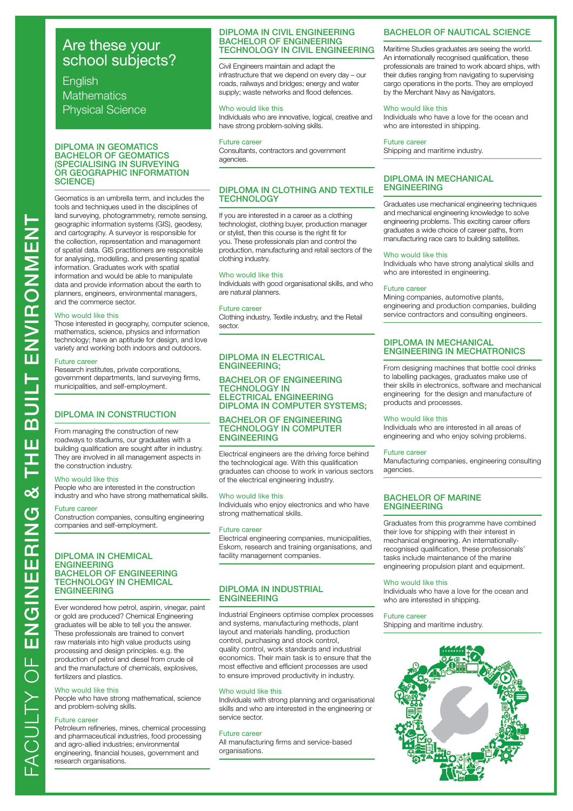# **English Mathematics** Physical Science

# DIPLOMA IN GEOMATICS BACHELOR OF GEOMATICS (SPECIALISING IN SURVEYING OR GEOGRAPHIC INFORMATION SCIENCE)

Geomatics is an umbrella term, and includes the tools and techniques used in the disciplines of land surveying, photogrammetry, remote sensing, geographic information systems (GIS), geodesy, and cartography. A surveyor is responsible for the collection, representation and management of spatial data. GIS practitioners are responsible for analysing, modelling, and presenting spatial information. Graduates work with spatial information and would be able to manipulate data and provide information about the earth to planners, engineers, environmental managers, and the commerce sector.

# Who would like this

Those interested in geography, computer science, mathematics, science, physics and information technology; have an aptitude for design, and love variety and working both indoors and outdoors.

# Future career

Research institutes, private corporations, government departments, land surveying firms, municipalities, and self-employment.

# DIPLOMA IN CONSTRUCTION

From managing the construction of new roadways to stadiums, our graduates with a building qualification are sought after in industry. They are involved in all management aspects in the construction industry.

# Who would like this

People who are interested in the construction industry and who have strong mathematical skills.

# Future career

Construction companies, consulting engineering companies and self-employment.

# DIPLOMA IN CHEMICAL ENGINEERING BACHELOR OF ENGINEERING TECHNOLOGY IN CHEMICAL ENGINEERING

Ever wondered how petrol, aspirin, vinegar, paint or gold are produced? Chemical Engineering graduates will be able to tell you the answer. These professionals are trained to convert raw materials into high value products using processing and design principles. e.g. the production of petrol and diesel from crude oil and the manufacture of chemicals, explosives, fertilizers and plastics.

### Who would like this

People who have strong mathematical, science and problem-solving skills.

# Future career

Petroleum refineries, mines, chemical processing and pharmaceutical industries, food processing and agro-allied industries; environmental engineering, financial houses, government and research organisations.

# DIPLOMA IN CIVIL ENGINEERING BACHELOR OF ENGINEERING TECHNOLOGY IN CIVIL ENGINEERING

Civil Engineers maintain and adapt the infrastructure that we depend on every day – our roads, railways and bridges; energy and water supply; waste networks and flood defences.

# Who would like this

Individuals who are innovative, logical, creative and have strong problem-solving skills.

# Future career

Consultants, contractors and government agencies.

# DIPLOMA IN CLOTHING AND TEXTILE TECHNOLOGY

If you are interested in a career as a clothing technologist, clothing buyer, production manager or stylist, then this course is the right fit for you. These professionals plan and control the production, manufacturing and retail sectors of the clothing industry.

# Who would like this

Individuals with good organisational skills, and who are natural planners.

# Future career

Clothing industry, Textile industry, and the Retail sector.

# DIPLOMA IN ELECTRICAL ENGINEERING;

# BACHELOR OF ENGINEERING TECHNOLOGY IN ELECTRICAL ENGINEERING DIPLOMA IN COMPUTER SYSTEMS;

# BACHELOR OF ENGINEERING TECHNOLOGY IN COMPUTER ENGINEERING

Electrical engineers are the driving force behind the technological age. With this qualification graduates can choose to work in various sectors of the electrical engineering industry.

### Who would like this

Individuals who enjoy electronics and who have strong mathematical skills.

# Future career

Electrical engineering companies, municipalities, Eskom, research and training organisations, and facility management companies.

# DIPLOMA IN INDUSTRIAL ENGINEERING

Industrial Engineers optimise complex processes and systems, manufacturing methods, plant layout and materials handling, production control, purchasing and stock control, quality control, work standards and industrial economics. Their main task is to ensure that the most effective and efficient processes are used to ensure improved productivity in industry.

# Who would like this

Individuals with strong planning and organisational skills and who are interested in the engineering or service sector.

### Future career

All manufacturing firms and service-based organisations.

# BACHELOR OF NAUTICAL SCIENCE

Maritime Studies graduates are seeing the world. An internationally recognised qualification, these professionals are trained to work aboard ships, with their duties ranging from navigating to supervising cargo operations in the ports. They are employed by the Merchant Navy as Navigators.

# Who would like this

Individuals who have a love for the ocean and who are interested in shipping.

# Future career

Shipping and maritime industry.

# DIPLOMA IN MECHANICAL **ENGINEERING**

Graduates use mechanical engineering techniques and mechanical engineering knowledge to solve engineering problems. This exciting career offers graduates a wide choice of career paths, from manufacturing race cars to building satellites.

### Who would like this

Individuals who have strong analytical skills and who are interested in engineering.

# Future career

Mining companies, automotive plants, engineering and production companies, building service contractors and consulting engineers.

# DIPLOMA IN MECHANICAL ENGINEERING IN MECHATRONICS

From designing machines that bottle cool drinks to labelling packages, graduates make use of their skills in electronics, software and mechanical engineering for the design and manufacture of products and processes.

# Who would like this

Individuals who are interested in all areas of engineering and who enjoy solving problems.

# Future career

Manufacturing companies, engineering consulting agencies.

# BACHELOR OF MARINE ENGINEERING

Graduates from this programme have combined their love for shipping with their interest in mechanical engineering. An internationallyrecognised qualification, these professionals' tasks include maintenance of the marine engineering propulsion plant and equipment.

### Who would like this

Individuals who have a love for the ocean and who are interested in shipping.

# Future career

Shipping and maritime industry.